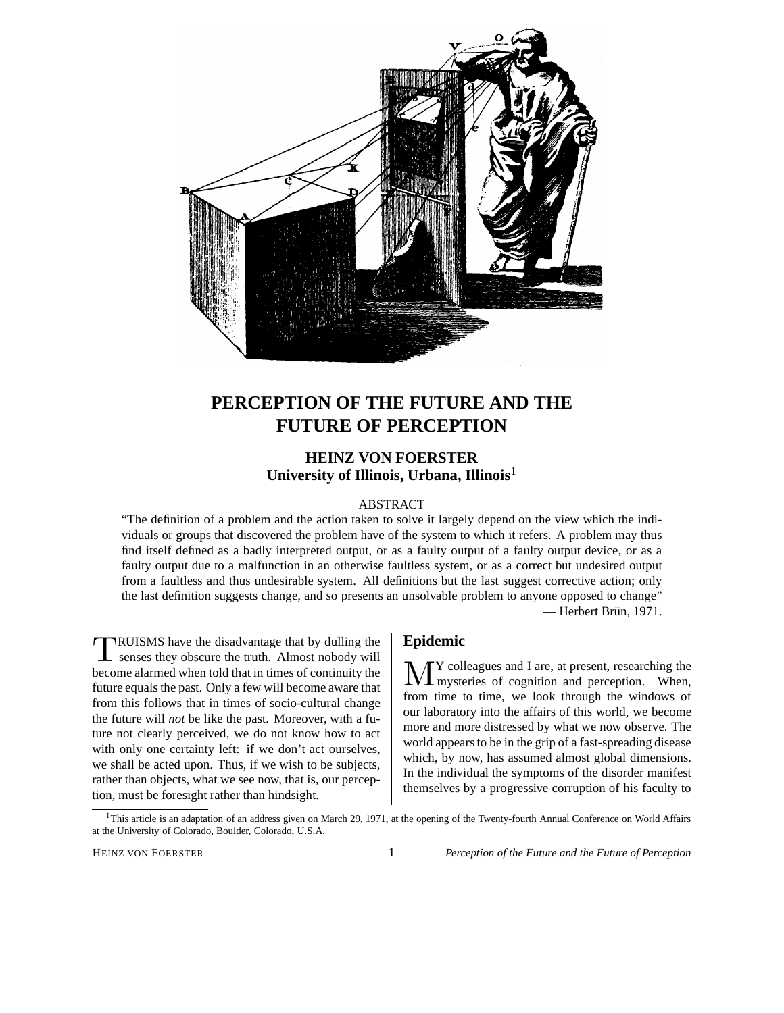

# **PERCEPTION OF THE FUTURE AND THE FUTURE OF PERCEPTION**

# **HEINZ VON FOERSTER University of Illinois, Urbana, Illinois**<sup>1</sup>

#### ABSTRACT

"The definition of a problem and the action taken to solve it largely depend on the view which the individuals or groups that discovered the problem have of the system to which it refers. A problem may thus find itself defined as a badly interpreted output, or as a faulty output of a faulty output device, or as a faulty output due to a malfunction in an otherwise faultless system, or as a correct but undesired output from a faultless and thus undesirable system. All definitions but the last suggest corrective action; only the last definition suggests change, and so presents an unsolvable problem to anyone opposed to change" — Herbert Brün, 1971.

T RUISMS have the disadvantage that by dulling the senses they obscure the truth. Almost nobody will become alarmed when told that in times of continuity the future equals the past. Only a few will become aware that from this follows that in times of socio-cultural change the future will *not* be like the past. Moreover, with a future not clearly perceived, we do not know how to act with only one certainty left: if we don't act ourselves, we shall be acted upon. Thus, if we wish to be subjects, rather than objects, what we see now, that is, our perception, must be foresight rather than hindsight.

#### **Epidemic**

Y colleagues and I are, at present, researching the mysteries of cognition and perception. When, from time to time, we look through the windows of our laboratory into the affairs of this world, we become more and more distressed by what we now observe. The world appears to be in the grip of a fast-spreading disease which, by now, has assumed almost global dimensions. In the individual the symptoms of the disorder manifest themselves by a progressive corruption of his faculty to

HEINZ VON FOERSTER 1 *Perception of the Future and the Future of Perception*

<sup>1</sup>This article is an adaptation of an address given on March 29, 1971, at the opening of the Twenty-fourth Annual Conference on World Affairs at the University of Colorado, Boulder, Colorado, U.S.A.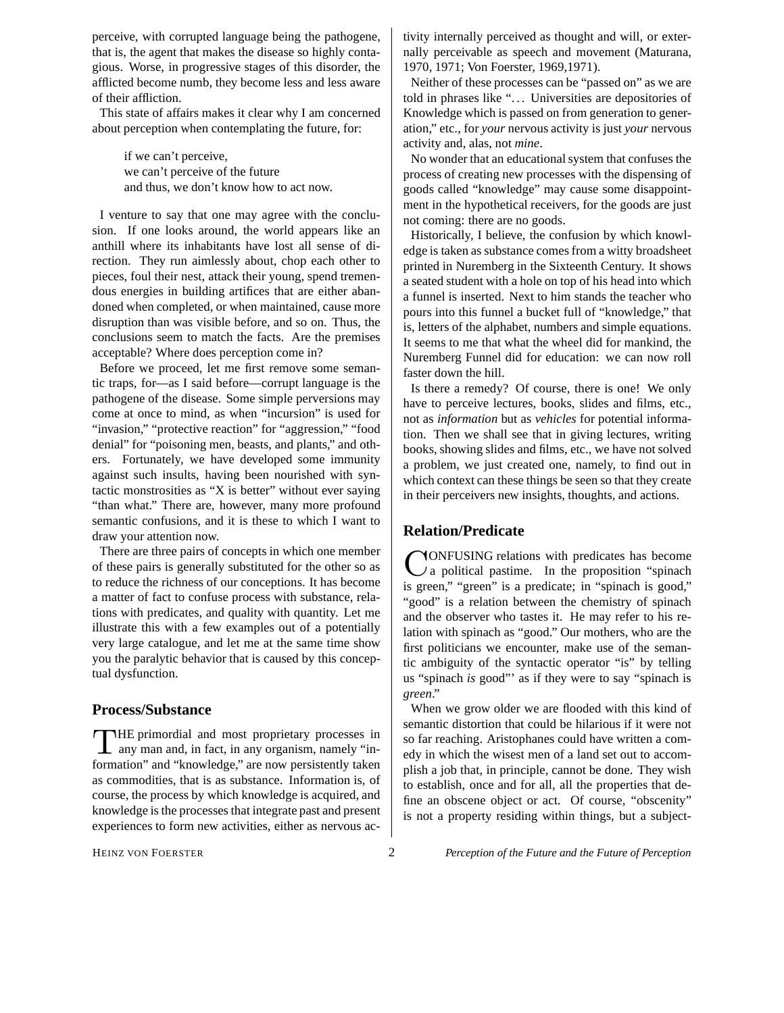perceive, with corrupted language being the pathogene, that is, the agent that makes the disease so highly contagious. Worse, in progressive stages of this disorder, the afflicted become numb, they become less and less aware of their affliction.

This state of affairs makes it clear why I am concerned about perception when contemplating the future, for:

> if we can't perceive, we can't perceive of the future and thus, we don't know how to act now.

I venture to say that one may agree with the conclusion. If one looks around, the world appears like an anthill where its inhabitants have lost all sense of direction. They run aimlessly about, chop each other to pieces, foul their nest, attack their young, spend tremendous energies in building artifices that are either abandoned when completed, or when maintained, cause more disruption than was visible before, and so on. Thus, the conclusions seem to match the facts. Are the premises acceptable? Where does perception come in?

Before we proceed, let me first remove some semantic traps, for—as I said before—corrupt language is the pathogene of the disease. Some simple perversions may come at once to mind, as when "incursion" is used for "invasion," "protective reaction" for "aggression," "food denial" for "poisoning men, beasts, and plants," and others. Fortunately, we have developed some immunity against such insults, having been nourished with syntactic monstrosities as "X is better" without ever saying "than what." There are, however, many more profound semantic confusions, and it is these to which I want to draw your attention now.

There are three pairs of concepts in which one member of these pairs is generally substituted for the other so as to reduce the richness of our conceptions. It has become a matter of fact to confuse process with substance, relations with predicates, and quality with quantity. Let me illustrate this with a few examples out of a potentially very large catalogue, and let me at the same time show you the paralytic behavior that is caused by this conceptual dysfunction.

### **Process/Substance**

THE primordial and most proprietary processes in any man and, in fact, in any organism, namely "in-HE primordial and most proprietary processes in formation" and "knowledge," are now persistently taken as commodities, that is as substance. Information is, of course, the process by which knowledge is acquired, and knowledge is the processes that integrate past and present experiences to form new activities, either as nervous ac-

tivity internally perceived as thought and will, or externally perceivable as speech and movement (Maturana, 1970, 1971; Von Foerster, 1969,1971).

Neither of these processes can be "passed on" as we are told in phrases like "... Universities are depositories of Knowledge which is passed on from generation to generation," etc., for *your* nervous activity is just *your* nervous activity and, alas, not *mine*.

No wonder that an educational system that confuses the process of creating new processes with the dispensing of goods called "knowledge" may cause some disappointment in the hypothetical receivers, for the goods are just not coming: there are no goods.

Historically, I believe, the confusion by which knowledge is taken as substance comes from a witty broadsheet printed in Nuremberg in the Sixteenth Century. It shows a seated student with a hole on top of his head into which a funnel is inserted. Next to him stands the teacher who pours into this funnel a bucket full of "knowledge," that is, letters of the alphabet, numbers and simple equations. It seems to me that what the wheel did for mankind, the Nuremberg Funnel did for education: we can now roll faster down the hill.

Is there a remedy? Of course, there is one! We only have to perceive lectures, books, slides and films, etc., not as *information* but as *vehicles* for potential information. Then we shall see that in giving lectures, writing books, showing slides and films, etc., we have not solved a problem, we just created one, namely, to find out in which context can these things be seen so that they create in their perceivers new insights, thoughts, and actions.

#### **Relation/Predicate**

CONFUSING relations with predicates has become<br>
a political pastime. In the proposition "spinach ONFUSING relations with predicates has become is green," "green" is a predicate; in "spinach is good," "good" is a relation between the chemistry of spinach and the observer who tastes it. He may refer to his relation with spinach as "good." Our mothers, who are the first politicians we encounter, make use of the semantic ambiguity of the syntactic operator "is" by telling us "spinach *is* good"' as if they were to say "spinach is *green*."

When we grow older we are flooded with this kind of semantic distortion that could be hilarious if it were not so far reaching. Aristophanes could have written a comedy in which the wisest men of a land set out to accomplish a job that, in principle, cannot be done. They wish to establish, once and for all, all the properties that define an obscene object or act. Of course, "obscenity" is not a property residing within things, but a subject-

HEINZ VON FOERSTER 2 *Perception of the Future and the Future of Perception*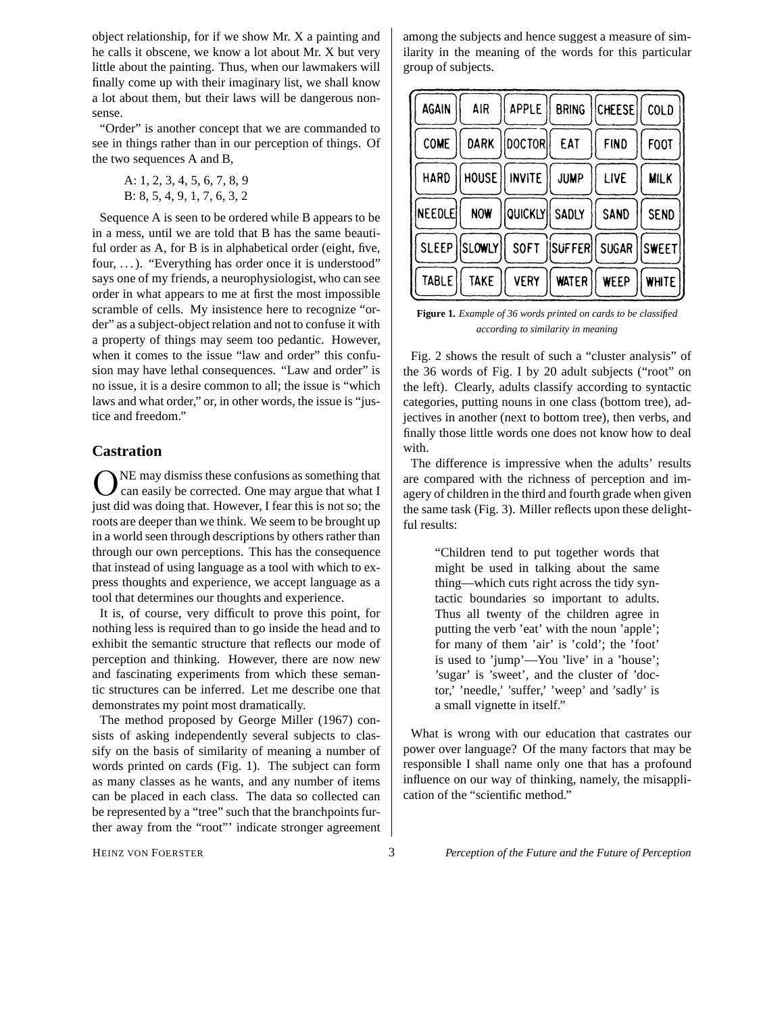object relationship, for if we show Mr. X a painting and he calls it obscene, we know a lot about Mr. X but very little about the painting. Thus, when our lawmakers will finally come up with their imaginary list, we shall know a lot about them, but their laws will be dangerous nonsense.

"Order" is another concept that we are commanded to see in things rather than in our perception of things. Of the two sequences A and B,

> A: 1, 2, 3, 4, 5, 6, 7, 8, 9 B: 8, 5, 4, 9, 1, 7, 6, 3, 2

Sequence A is seen to be ordered while B appears to be in a mess, until we are told that B has the same beautiful order as A, for B is in alphabetical order (eight, five, four, ...). "Everything has order once it is understood" says one of my friends, a neurophysiologist, who can see order in what appears to me at first the most impossible scramble of cells. My insistence here to recognize "order" as a subject-object relation and not to confuse it with a property of things may seem too pedantic. However, when it comes to the issue "law and order" this confusion may have lethal consequences. "Law and order" is no issue, it is a desire common to all; the issue is "which laws and what order," or, in other words, the issue is "justice and freedom."

## **Castration**

ONE may dismiss these confusions as something that<br>
C can easily be corrected. One may argue that what I NE may dismiss these confusions as something that just did was doing that. However, I fear this is not so; the roots are deeper than we think. We seem to be brought up in a world seen through descriptions by others rather than through our own perceptions. This has the consequence that instead of using language as a tool with which to express thoughts and experience, we accept language as a tool that determines our thoughts and experience.

It is, of course, very difficult to prove this point, for nothing less is required than to go inside the head and to exhibit the semantic structure that reflects our mode of perception and thinking. However, there are now new and fascinating experiments from which these semantic structures can be inferred. Let me describe one that demonstrates my point most dramatically.

The method proposed by George Miller (1967) consists of asking independently several subjects to classify on the basis of similarity of meaning a number of words printed on cards (Fig. 1). The subject can form as many classes as he wants, and any number of items can be placed in each class. The data so collected can be represented by a "tree" such that the branchpoints further away from the "root"' indicate stronger agreement among the subjects and hence suggest a measure of similarity in the meaning of the words for this particular group of subjects.

|  | AGAIN    AIR    APPLE    BRING   CHEESE   COLD                                                                                                      |  |             |
|--|-----------------------------------------------------------------------------------------------------------------------------------------------------|--|-------------|
|  | COME    DARK   DOCTOR   EAT    FIND                                                                                                                 |  | $  $ FOOT   |
|  | HARD $\left \left \right $ HOUSE $\left \right $ invite $\left \right $ jump $\left \right $ live                                                   |  | <b>MILK</b> |
|  | $ NEEDE $ now $ Quickly  $ sadly $  $ sand $  $ send                                                                                                |  |             |
|  | SLEEP  SLOWLY   SOFT   SUFFER  SUGAR  SWEET                                                                                                         |  |             |
|  | TABLE $\left  \left[ \right]$ TAKE $\left  \left[ \right] \right $ very $\left  \left[ \right] \right $ where $\left  \left[ \right] \right $ white |  |             |

**Figure 1.** *Example of 36 words printed on cards to be classified according to similarity in meaning*

Fig. 2 shows the result of such a "cluster analysis" of the 36 words of Fig. I by 20 adult subjects ("root" on the left). Clearly, adults classify according to syntactic categories, putting nouns in one class (bottom tree), adjectives in another (next to bottom tree), then verbs, and finally those little words one does not know how to deal with.

The difference is impressive when the adults' results are compared with the richness of perception and imagery of children in the third and fourth grade when given the same task (Fig. 3). Miller reflects upon these delightful results:

> "Children tend to put together words that might be used in talking about the same thing—which cuts right across the tidy syntactic boundaries so important to adults. Thus all twenty of the children agree in putting the verb 'eat' with the noun 'apple'; for many of them 'air' is 'cold'; the 'foot' is used to 'jump'—You 'live' in a 'house'; 'sugar' is 'sweet', and the cluster of 'doctor,' 'needle,' 'suffer,' 'weep' and 'sadly' is a small vignette in itself."

What is wrong with our education that castrates our power over language? Of the many factors that may be responsible I shall name only one that has a profound influence on our way of thinking, namely, the misapplication of the "scientific method."

HEINZ VON FOERSTER 3 *Perception of the Future and the Future of Perception*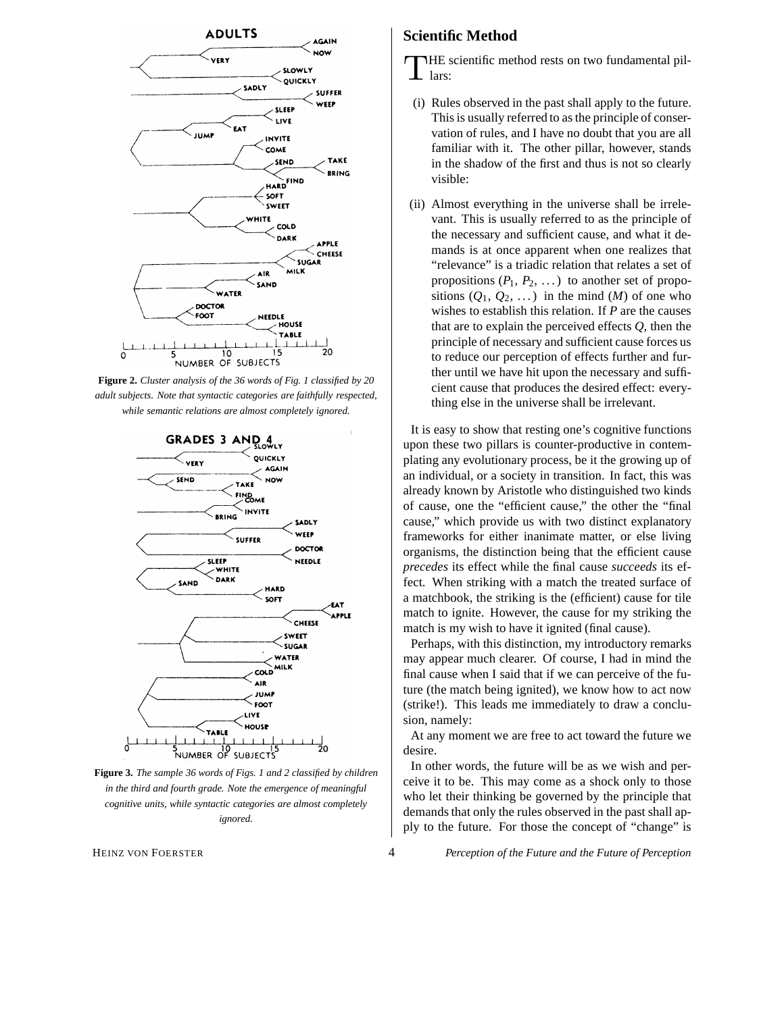

**Figure 2.** *Cluster analysis of the 36 words of Fig. 1 classified by 20 adult subjects. Note that syntactic categories are faithfully respected, while semantic relations are almost completely ignored.*



**Figure 3.** *The sample 36 words of Figs. 1 and 2 classified by children in the third and fourth grade. Note the emergence of meaningful cognitive units, while syntactic categories are almost completely ignored.*

### **Scientific Method**

THE<sub>s</sub> HE scientific method rests on two fundamental pil-

- (i) Rules observed in the past shall apply to the future. This is usually referred to as the principle of conservation of rules, and I have no doubt that you are all familiar with it. The other pillar, however, stands in the shadow of the first and thus is not so clearly visible:
- (ii) Almost everything in the universe shall be irrelevant. This is usually referred to as the principle of the necessary and sufficient cause, and what it demands is at once apparent when one realizes that "relevance" is a triadic relation that relates a set of propositions  $(P_1, P_2, ...)$  to another set of propositions  $(Q_1, Q_2, \ldots)$  in the mind  $(M)$  of one who wishes to establish this relation. If *P* are the causes that are to explain the perceived effects *Q*, then the principle of necessary and sufficient cause forces us to reduce our perception of effects further and further until we have hit upon the necessary and sufficient cause that produces the desired effect: everything else in the universe shall be irrelevant.

It is easy to show that resting one's cognitive functions upon these two pillars is counter-productive in contemplating any evolutionary process, be it the growing up of an individual, or a society in transition. In fact, this was already known by Aristotle who distinguished two kinds of cause, one the "efficient cause," the other the "final cause," which provide us with two distinct explanatory frameworks for either inanimate matter, or else living organisms, the distinction being that the efficient cause *precedes* its effect while the final cause *succeeds* its effect. When striking with a match the treated surface of a matchbook, the striking is the (efficient) cause for tile match to ignite. However, the cause for my striking the match is my wish to have it ignited (final cause).

Perhaps, with this distinction, my introductory remarks may appear much clearer. Of course, I had in mind the final cause when I said that if we can perceive of the future (the match being ignited), we know how to act now (strike!). This leads me immediately to draw a conclusion, namely:

At any moment we are free to act toward the future we desire.

In other words, the future will be as we wish and perceive it to be. This may come as a shock only to those who let their thinking be governed by the principle that demands that only the rules observed in the past shall apply to the future. For those the concept of "change" is

HEINZ VON FOERSTER 4 *Perception of the Future and the Future of Perception*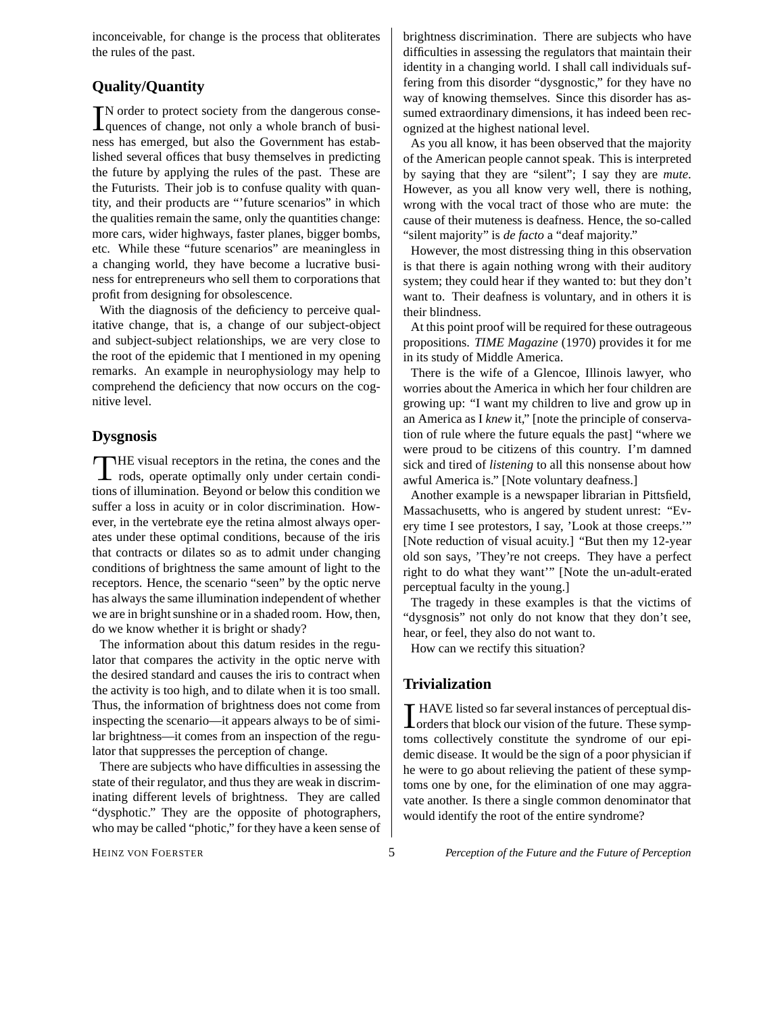inconceivable, for change is the process that obliterates the rules of the past.

## **Quality/Quantity**

IN order to protect society from the dangerous conse-<br>quences of change, not only a whole branch of busi-TN order to protect society from the dangerous conseness has emerged, but also the Government has established several offices that busy themselves in predicting the future by applying the rules of the past. These are the Futurists. Their job is to confuse quality with quantity, and their products are "'future scenarios" in which the qualities remain the same, only the quantities change: more cars, wider highways, faster planes, bigger bombs, etc. While these "future scenarios" are meaningless in a changing world, they have become a lucrative business for entrepreneurs who sell them to corporations that profit from designing for obsolescence.

With the diagnosis of the deficiency to perceive qualitative change, that is, a change of our subject-object and subject-subject relationships, we are very close to the root of the epidemic that I mentioned in my opening remarks. An example in neurophysiology may help to comprehend the deficiency that now occurs on the cognitive level.

#### **Dysgnosis**

THE visual receptors in the retina, the cones and the rods, operate optimally only under certain condi-HE visual receptors in the retina, the cones and the tions of illumination. Beyond or below this condition we suffer a loss in acuity or in color discrimination. However, in the vertebrate eye the retina almost always operates under these optimal conditions, because of the iris that contracts or dilates so as to admit under changing conditions of brightness the same amount of light to the receptors. Hence, the scenario "seen" by the optic nerve has always the same illumination independent of whether we are in bright sunshine or in a shaded room. How, then, do we know whether it is bright or shady?

The information about this datum resides in the regulator that compares the activity in the optic nerve with the desired standard and causes the iris to contract when the activity is too high, and to dilate when it is too small. Thus, the information of brightness does not come from inspecting the scenario—it appears always to be of similar brightness—it comes from an inspection of the regulator that suppresses the perception of change.

There are subjects who have difficulties in assessing the state of their regulator, and thus they are weak in discriminating different levels of brightness. They are called "dysphotic." They are the opposite of photographers, who may be called "photic," for they have a keen sense of brightness discrimination. There are subjects who have difficulties in assessing the regulators that maintain their identity in a changing world. I shall call individuals suffering from this disorder "dysgnostic," for they have no way of knowing themselves. Since this disorder has assumed extraordinary dimensions, it has indeed been recognized at the highest national level.

As you all know, it has been observed that the majority of the American people cannot speak. This is interpreted by saying that they are "silent"; I say they are *mute*. However, as you all know very well, there is nothing, wrong with the vocal tract of those who are mute: the cause of their muteness is deafness. Hence, the so-called "silent majority" is *de facto* a "deaf majority."

However, the most distressing thing in this observation is that there is again nothing wrong with their auditory system; they could hear if they wanted to: but they don't want to. Their deafness is voluntary, and in others it is their blindness.

At this point proof will be required for these outrageous propositions. *TIME Magazine* (1970) provides it for me in its study of Middle America.

There is the wife of a Glencoe, Illinois lawyer, who worries about the America in which her four children are growing up: "I want my children to live and grow up in an America as I *knew* it," [note the principle of conservation of rule where the future equals the past] "where we were proud to be citizens of this country. I'm damned sick and tired of *listening* to all this nonsense about how awful America is." [Note voluntary deafness.]

Another example is a newspaper librarian in Pittsfield, Massachusetts, who is angered by student unrest: "Every time I see protestors, I say, 'Look at those creeps.'" [Note reduction of visual acuity.] "But then my 12-year old son says, 'They're not creeps. They have a perfect right to do what they want'" [Note the un-adult-erated perceptual faculty in the young.]

The tragedy in these examples is that the victims of "dysgnosis" not only do not know that they don't see, hear, or feel, they also do not want to.

How can we rectify this situation?

#### **Trivialization**

I HAVE listed so far several instances of perceptual dis-<br>Inders that block our vision of the future. These symp-**T** HAVE listed so far several instances of perceptual distoms collectively constitute the syndrome of our epidemic disease. It would be the sign of a poor physician if he were to go about relieving the patient of these symptoms one by one, for the elimination of one may aggravate another. Is there a single common denominator that would identify the root of the entire syndrome?

HEINZ VON FOERSTER 5 *Perception of the Future and the Future of Perception*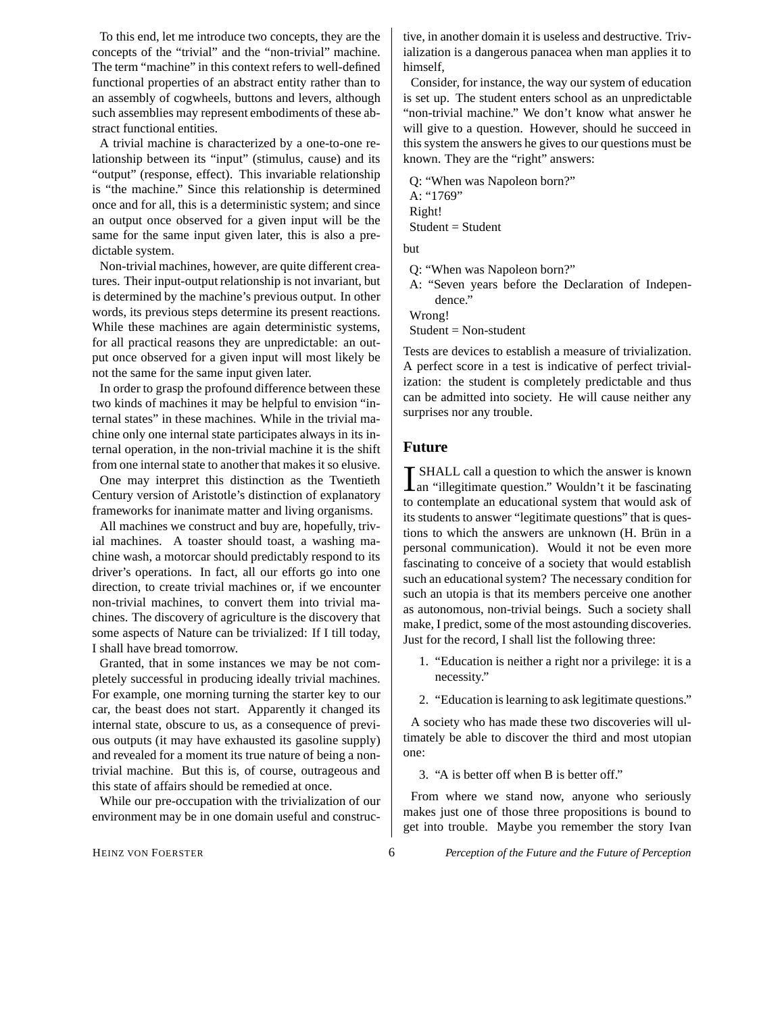To this end, let me introduce two concepts, they are the concepts of the "trivial" and the "non-trivial" machine. The term "machine" in this context refers to well-defined functional properties of an abstract entity rather than to an assembly of cogwheels, buttons and levers, although such assemblies may represent embodiments of these abstract functional entities.

A trivial machine is characterized by a one-to-one relationship between its "input" (stimulus, cause) and its "output" (response, effect). This invariable relationship is "the machine." Since this relationship is determined once and for all, this is a deterministic system; and since an output once observed for a given input will be the same for the same input given later, this is also a predictable system.

Non-trivial machines, however, are quite different creatures. Their input-output relationship is not invariant, but is determined by the machine's previous output. In other words, its previous steps determine its present reactions. While these machines are again deterministic systems, for all practical reasons they are unpredictable: an output once observed for a given input will most likely be not the same for the same input given later.

In order to grasp the profound difference between these two kinds of machines it may be helpful to envision "internal states" in these machines. While in the trivial machine only one internal state participates always in its internal operation, in the non-trivial machine it is the shift from one internal state to another that makes it so elusive.

One may interpret this distinction as the Twentieth Century version of Aristotle's distinction of explanatory frameworks for inanimate matter and living organisms.

All machines we construct and buy are, hopefully, trivial machines. A toaster should toast, a washing machine wash, a motorcar should predictably respond to its driver's operations. In fact, all our efforts go into one direction, to create trivial machines or, if we encounter non-trivial machines, to convert them into trivial machines. The discovery of agriculture is the discovery that some aspects of Nature can be trivialized: If I till today, I shall have bread tomorrow.

Granted, that in some instances we may be not completely successful in producing ideally trivial machines. For example, one morning turning the starter key to our car, the beast does not start. Apparently it changed its internal state, obscure to us, as a consequence of previous outputs (it may have exhausted its gasoline supply) and revealed for a moment its true nature of being a nontrivial machine. But this is, of course, outrageous and this state of affairs should be remedied at once.

While our pre-occupation with the trivialization of our environment may be in one domain useful and constructive, in another domain it is useless and destructive. Trivialization is a dangerous panacea when man applies it to himself,

Consider, for instance, the way our system of education is set up. The student enters school as an unpredictable "non-trivial machine." We don't know what answer he will give to a question. However, should he succeed in this system the answers he gives to our questions must be known. They are the "right" answers:

Q: "When was Napoleon born?" A: "1769" Right! Student = Student

but

- Q: "When was Napoleon born?"
- A: "Seven years before the Declaration of Independence."

Wrong!

Student = Non-student

Tests are devices to establish a measure of trivialization. A perfect score in a test is indicative of perfect trivialization: the student is completely predictable and thus can be admitted into society. He will cause neither any surprises nor any trouble.

## **Future**

**I** SHALL call a question to which the answer is known<br>I an "illegitimate question." Wouldn't it be fascinating **T** SHALL call a question to which the answer is known to contemplate an educational system that would ask of its students to answer "legitimate questions" that is questions to which the answers are unknown (H. Brün in a personal communication). Would it not be even more fascinating to conceive of a society that would establish such an educational system? The necessary condition for such an utopia is that its members perceive one another as autonomous, non-trivial beings. Such a society shall make, I predict, some of the most astounding discoveries. Just for the record, I shall list the following three:

- 1. "Education is neither a right nor a privilege: it is a necessity."
- 2. "Education is learning to ask legitimate questions."

A society who has made these two discoveries will ultimately be able to discover the third and most utopian one:

3. "A is better off when B is better off."

From where we stand now, anyone who seriously makes just one of those three propositions is bound to get into trouble. Maybe you remember the story Ivan

HEINZ VON FOERSTER 6 *Perception of the Future and the Future of Perception*